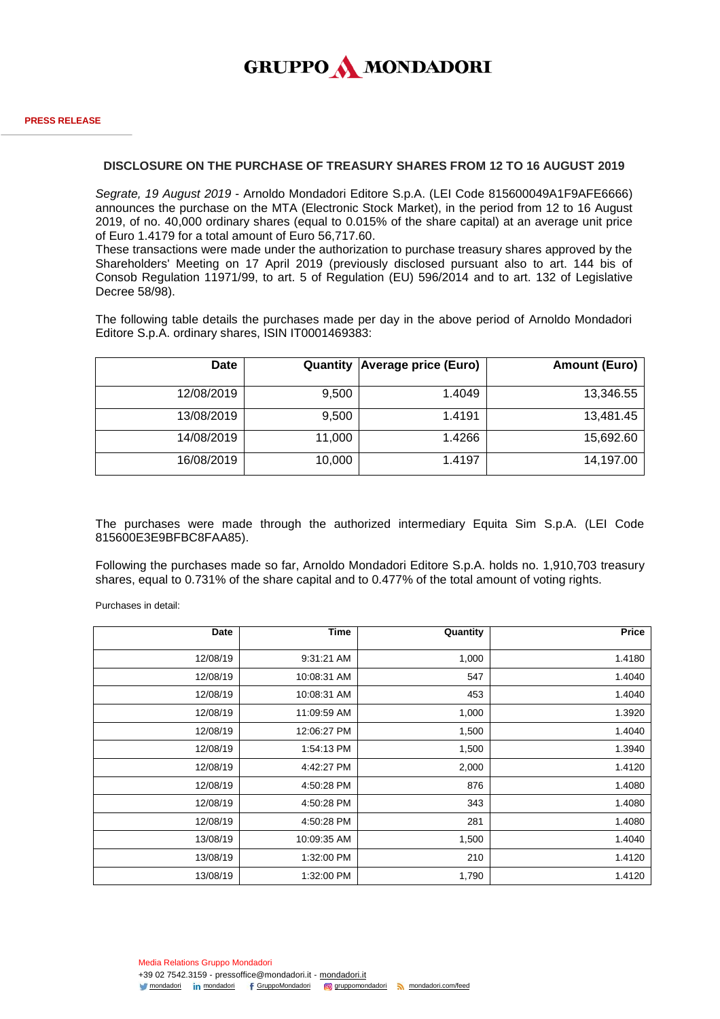

## **DISCLOSURE ON THE PURCHASE OF TREASURY SHARES FROM 12 TO 16 AUGUST 2019**

*Segrate, 19 August 2019* - Arnoldo Mondadori Editore S.p.A. (LEI Code 815600049A1F9AFE6666) announces the purchase on the MTA (Electronic Stock Market), in the period from 12 to 16 August 2019, of no. 40,000 ordinary shares (equal to 0.015% of the share capital) at an average unit price of Euro 1.4179 for a total amount of Euro 56,717.60.

These transactions were made under the authorization to purchase treasury shares approved by the Shareholders' Meeting on 17 April 2019 (previously disclosed pursuant also to art. 144 bis of Consob Regulation 11971/99, to art. 5 of Regulation (EU) 596/2014 and to art. 132 of Legislative Decree 58/98).

The following table details the purchases made per day in the above period of Arnoldo Mondadori Editore S.p.A. ordinary shares, ISIN IT0001469383:

| <b>Date</b> | Quantity | Average price (Euro) | <b>Amount (Euro)</b> |
|-------------|----------|----------------------|----------------------|
| 12/08/2019  | 9,500    | 1.4049               | 13,346.55            |
| 13/08/2019  | 9,500    | 1.4191               | 13,481.45            |
| 14/08/2019  | 11,000   | 1.4266               | 15,692.60            |
| 16/08/2019  | 10,000   | 1.4197               | 14,197.00            |

The purchases were made through the authorized intermediary Equita Sim S.p.A. (LEI Code 815600E3E9BFBC8FAA85).

Following the purchases made so far, Arnoldo Mondadori Editore S.p.A. holds no. 1,910,703 treasury shares, equal to 0.731% of the share capital and to 0.477% of the total amount of voting rights.

Purchases in detail:

| <b>Date</b> | <b>Time</b> | Quantity | <b>Price</b> |
|-------------|-------------|----------|--------------|
| 12/08/19    | 9:31:21 AM  | 1,000    | 1.4180       |
| 12/08/19    | 10:08:31 AM | 547      | 1.4040       |
| 12/08/19    | 10:08:31 AM | 453      | 1.4040       |
| 12/08/19    | 11:09:59 AM | 1,000    | 1.3920       |
| 12/08/19    | 12:06:27 PM | 1,500    | 1.4040       |
| 12/08/19    | 1:54:13 PM  | 1,500    | 1.3940       |
| 12/08/19    | 4:42:27 PM  | 2,000    | 1.4120       |
| 12/08/19    | 4:50:28 PM  | 876      | 1.4080       |
| 12/08/19    | 4:50:28 PM  | 343      | 1.4080       |
| 12/08/19    | 4:50:28 PM  | 281      | 1.4080       |
| 13/08/19    | 10:09:35 AM | 1,500    | 1.4040       |
| 13/08/19    | 1:32:00 PM  | 210      | 1.4120       |
| 13/08/19    | 1:32:00 PM  | 1,790    | 1.4120       |